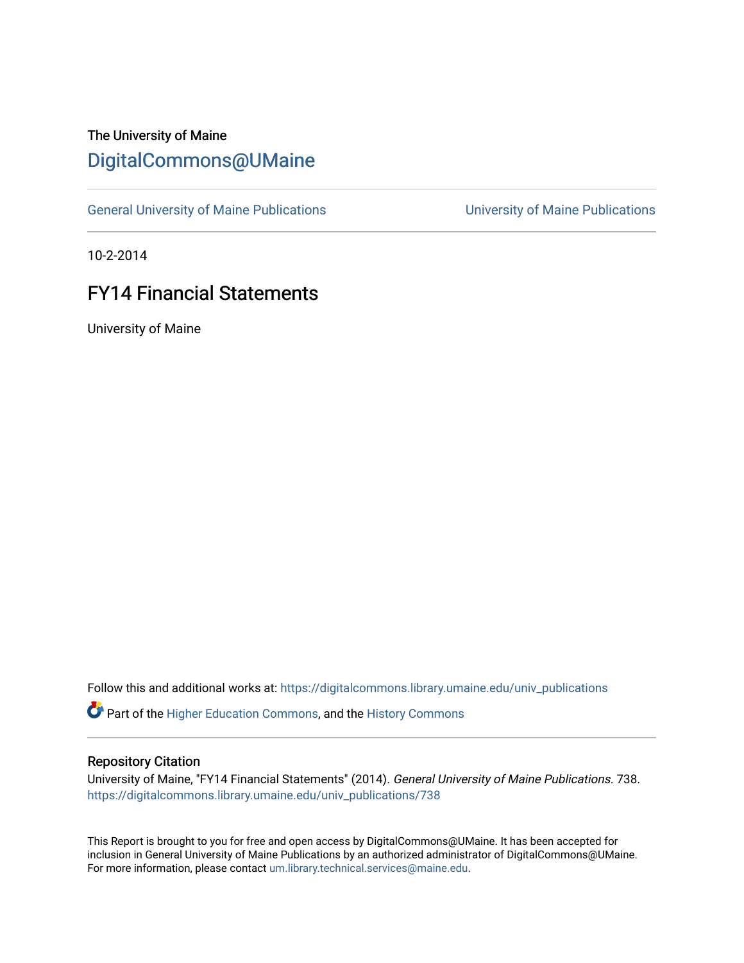## The University of Maine [DigitalCommons@UMaine](https://digitalcommons.library.umaine.edu/)

[General University of Maine Publications](https://digitalcommons.library.umaine.edu/univ_publications) [University of Maine Publications](https://digitalcommons.library.umaine.edu/umaine_publications) 

10-2-2014

## FY14 Financial Statements

University of Maine

Follow this and additional works at: [https://digitalcommons.library.umaine.edu/univ\\_publications](https://digitalcommons.library.umaine.edu/univ_publications?utm_source=digitalcommons.library.umaine.edu%2Funiv_publications%2F738&utm_medium=PDF&utm_campaign=PDFCoverPages) 

Part of the [Higher Education Commons,](http://network.bepress.com/hgg/discipline/1245?utm_source=digitalcommons.library.umaine.edu%2Funiv_publications%2F738&utm_medium=PDF&utm_campaign=PDFCoverPages) and the [History Commons](http://network.bepress.com/hgg/discipline/489?utm_source=digitalcommons.library.umaine.edu%2Funiv_publications%2F738&utm_medium=PDF&utm_campaign=PDFCoverPages)

## Repository Citation

University of Maine, "FY14 Financial Statements" (2014). General University of Maine Publications. 738. [https://digitalcommons.library.umaine.edu/univ\\_publications/738](https://digitalcommons.library.umaine.edu/univ_publications/738?utm_source=digitalcommons.library.umaine.edu%2Funiv_publications%2F738&utm_medium=PDF&utm_campaign=PDFCoverPages) 

This Report is brought to you for free and open access by DigitalCommons@UMaine. It has been accepted for inclusion in General University of Maine Publications by an authorized administrator of DigitalCommons@UMaine. For more information, please contact [um.library.technical.services@maine.edu](mailto:um.library.technical.services@maine.edu).